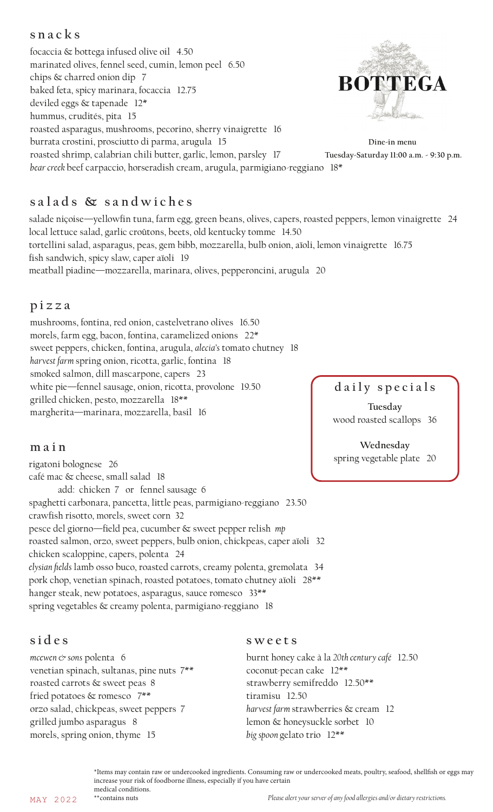## **snacks**

focaccia & bottega infused olive oil 4.50 marinated olives, fennel seed, cumin, lemon peel 6.50 chips & charred onion dip 7 **BOTTEGA** baked feta, spicy marinara, focaccia 12.75 deviled eggs & tapenade 12\* hummus, crudités, pita 15 roasted asparagus, mushrooms, pecorino, sherry vinaigrette 16 burrata crostini, prosciutto di parma, arugula 15 **Dine-in menu** roasted shrimp, calabrian chili butter, garlic, lemon, parsley 17  **Tuesday-Saturday 11:00 a.m. - 9:30 p.m.** *bear creek* beef carpaccio, horseradish cream, arugula, parmigiano-reggiano 18\*

# **s a l a d s & s a n d w i c h e s**

salade niçoise—yellowfin tuna, farm egg, green beans, olives, capers, roasted peppers, lemon vinaigrette 24 local lettuce salad, garlic croûtons, beets, old kentucky tomme 14.50 tortellini salad, asparagus, peas, gem bibb, mozzarella, bulb onion, aïoli, lemon vinaigrette 16.75 fish sandwich, spicy slaw, caper aïoli 19 meatball piadine—mozzarella, marinara, olives, pepperoncini, arugula 20

## **pizza**

mushrooms, fontina, red onion, castelvetrano olives 16.50 morels, farm egg, bacon, fontina, caramelized onions 22\* sweet peppers, chicken, fontina, arugula, *alecia's* tomato chutney 18 *harvest farm* spring onion, ricotta, garlic, fontina 18 smoked salmon, dill mascarpone, capers 23 white pie—fennel sausage, onion, ricotta, provolone 19.50 grilled chicken, pesto, mozzarella 18\*\* margherita—marinara, mozzarella, basil 16

## **daily specials**

**Tuesday** wood roasted scallops 36

**Wednesday** spring vegetable plate 20

# **main**

rigatoni bolognese 26 café mac & cheese, small salad 18 add: chicken 7 or fennel sausage 6 spaghetti carbonara, pancetta, little peas, parmigiano-reggiano 23.50 crawfish risotto, morels, sweet corn 32 pesce del giorno—field pea, cucumber & sweet pepper relish *mp* roasted salmon, orzo, sweet peppers, bulb onion, chickpeas, caper aïoli 32 chicken scaloppine, capers, polenta 24 *elysian fields* lamb osso buco, roasted carrots, creamy polenta, gremolata 34 pork chop, venetian spinach, roasted potatoes, tomato chutney aïoli 28\*\* hanger steak, new potatoes, asparagus, sauce romesco 33\*\* spring vegetables & creamy polenta, parmigiano-reggiano 18

## **sides**

*mcewen & sons* polenta 6 venetian spinach, sultanas, pine nuts 7\*\* roasted carrots & sweet peas 8 fried potatoes & romesco 7\*\* orzo salad, chickpeas, sweet peppers 7 grilled jumbo asparagus 8 morels, spring onion, thyme 15

### **sweets**

burnt honey cake à la *20th century café* 12.50 coconut-pecan cake 12\*\* strawberry semifreddo 12.50\*\* tiramisu 12.50 *harvest farm* strawberries & cream 12 lemon & honeysuckle sorbet 10 *big spoon* gelato trio 12\*\*

\*Items may contain raw or undercooked ingredients. Consuming raw or undercooked meats, poultry, seafood, shellfish or eggs may increase your risk of foodborne illness, especially if you have certain medical conditions.<br>\*\*contains nuts